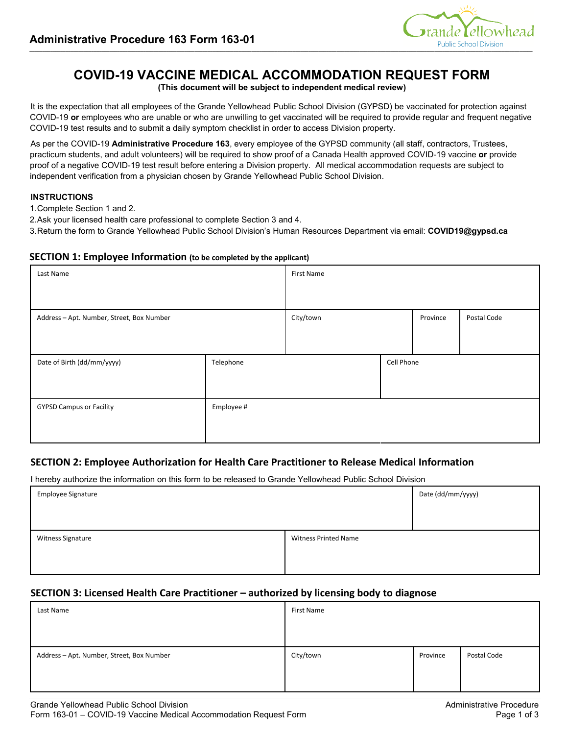

# **COVID-19 VACCINE MEDICAL ACCOMMODATION REQUEST FORM**

**(This document will be subject to independent medical review)**

It is the expectation that all employees of the Grande Yellowhead Public School Division (GYPSD) be vaccinated for protection against COVID-19 **or** employees who are unable or who are unwilling to get vaccinated will be required to provide regular and frequent negative COVID-19 test results and to submit a daily symptom checklist in order to access Division property.

As per the COVID-19 **Administrative Procedure 163**, every employee of the GYPSD community (all staff, contractors, Trustees, practicum students, and adult volunteers) will be required to show proof of a Canada Health approved COVID-19 vaccine **or** provide proof of a negative COVID-19 test result before entering a Division property. All medical accommodation requests are subject to independent verification from a physician chosen by Grande Yellowhead Public School Division.

#### **INSTRUCTIONS**

1.Complete Section 1 and 2.

2.Ask your licensed health care professional to complete Section 3 and 4.

3.Return the form to Grande Yellowhead Public School Division's Human Resources Department via email: **COVID19@gypsd.ca** 

## **SECTION 1: Employee Information (to be completed by the applicant)**

| Last Name                                 |            | <b>First Name</b> |            |          |             |
|-------------------------------------------|------------|-------------------|------------|----------|-------------|
| Address - Apt. Number, Street, Box Number |            | City/town         |            | Province | Postal Code |
| Date of Birth (dd/mm/yyyy)                | Telephone  |                   | Cell Phone |          |             |
| <b>GYPSD Campus or Facility</b>           | Employee # |                   |            |          |             |

# **SECTION 2: Employee Authorization for Health Care Practitioner to Release Medical Information**

I hereby authorize the information on this form to be released to Grande Yellowhead Public School Division

|                             | Date (dd/mm/yyyy) |
|-----------------------------|-------------------|
|                             |                   |
| <b>Witness Printed Name</b> |                   |
|                             |                   |
|                             |                   |

## **SECTION 3: Licensed Health Care Practitioner – authorized by licensing body to diagnose**

| Last Name                                 | First Name |          |             |
|-------------------------------------------|------------|----------|-------------|
|                                           |            |          |             |
| Address - Apt. Number, Street, Box Number | City/town  | Province | Postal Code |
|                                           |            |          |             |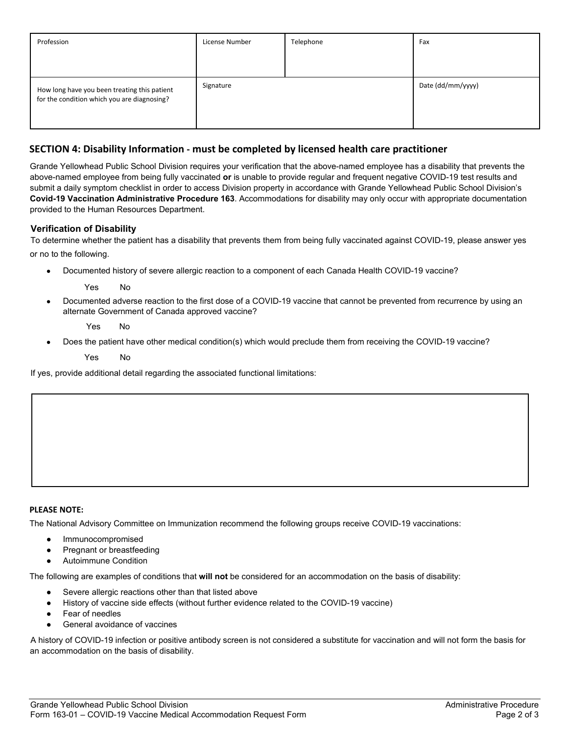| Profession                                                                                  | License Number | Telephone | Fax               |
|---------------------------------------------------------------------------------------------|----------------|-----------|-------------------|
|                                                                                             |                |           |                   |
| How long have you been treating this patient<br>for the condition which you are diagnosing? | Signature      |           | Date (dd/mm/yyyy) |

# **SECTION 4: Disability Information - must be completed by licensed health care practitioner**

Grande Yellowhead Public School Division requires your verification that the above-named employee has a disability that prevents the above-named employee from being fully vaccinated **or** is unable to provide regular and frequent negative COVID-19 test results and submit a daily symptom checklist in order to access Division property in accordance with Grande Yellowhead Public School Division's **Covid-19 Vaccination Administrative Procedure 163**. Accommodations for disability may only occur with appropriate documentation provided to the Human Resources Department.

## **Verification of Disability**

To determine whether the patient has a disability that prevents them from being fully vaccinated against COVID-19, please answer yes or no to the following.

Documented history of severe allergic reaction to a component of each Canada Health COVID-19 vaccine?

Yes No

Documented adverse reaction to the first dose of a COVID-19 vaccine that cannot be prevented from recurrence by using an alternate Government of Canada approved vaccine?

Yes No

Does the patient have other medical condition(s) which would preclude them from receiving the COVID-19 vaccine?

Yes No

If yes, provide additional detail regarding the associated functional limitations:

#### **PLEASE NOTE:**

The National Advisory Committee on Immunization recommend the following groups receive COVID-19 vaccinations:

- **Immunocompromised**
- Pregnant or breastfeeding
- **Autoimmune Condition**

The following are examples of conditions that **will not** be considered for an accommodation on the basis of disability:

- Severe allergic reactions other than that listed above
- History of vaccine side effects (without further evidence related to the COVID-19 vaccine)
- Fear of needles
- General avoidance of vaccines

A history of COVID-19 infection or positive antibody screen is not considered a substitute for vaccination and will not form the basis for an accommodation on the basis of disability.